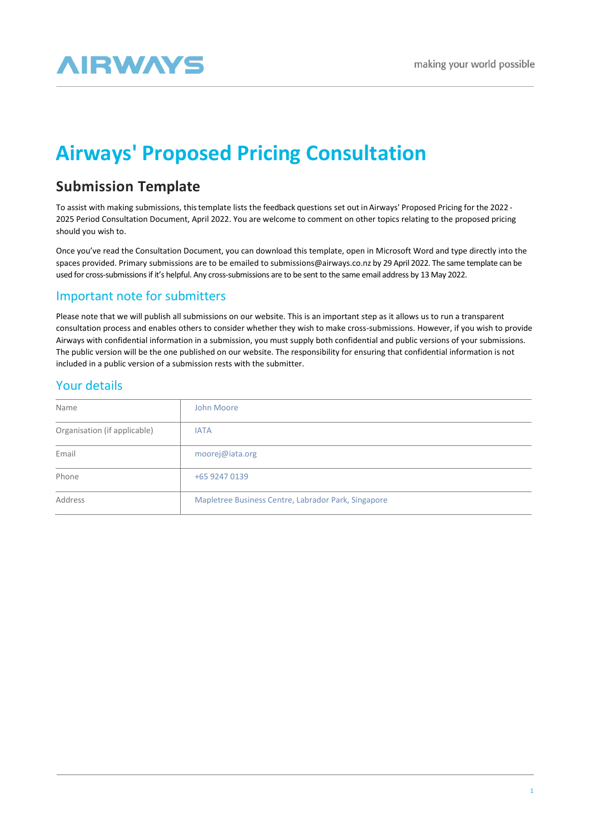# **AIRWAYS**

## **Airways' Proposed Pricing Consultation**

## **Submission Template**

To assist with making submissions, thistemplate lists the feedback questions set out in Airways' Proposed Pricing for the 2022 - 2025 Period Consultation Document, April 2022. You are welcome to comment on other topics relating to the proposed pricing should you wish to.

Once you've read the Consultation Document, you can download this template, open in Microsoft Word and type directly into the spaces provided. Primary submissions are to be emailed to [submissions@airways.co.nz](mailto:submissions@airways.co.nz) by 29 April 2022. The same template can be used for cross-submissions if it's helpful. Any cross-submissions are to be sent to the same email address by 13 May 2022.

## Important note for submitters

Please note that we will publish all submissions on our website. This is an important step as it allows us to run a transparent consultation process and enables others to consider whether they wish to make cross-submissions. However, if you wish to provide Airways with confidential information in a submission, you must supply both confidential and public versions of your submissions. The public version will be the one published on our website. The responsibility for ensuring that confidential information is not included in a public version of a submission rests with the submitter.

## Your details

| Name                         | John Moore                                          |
|------------------------------|-----------------------------------------------------|
| Organisation (if applicable) | <b>IATA</b>                                         |
| Email                        | moorej@iata.org                                     |
| Phone                        | +65 9247 0139                                       |
| Address                      | Mapletree Business Centre, Labrador Park, Singapore |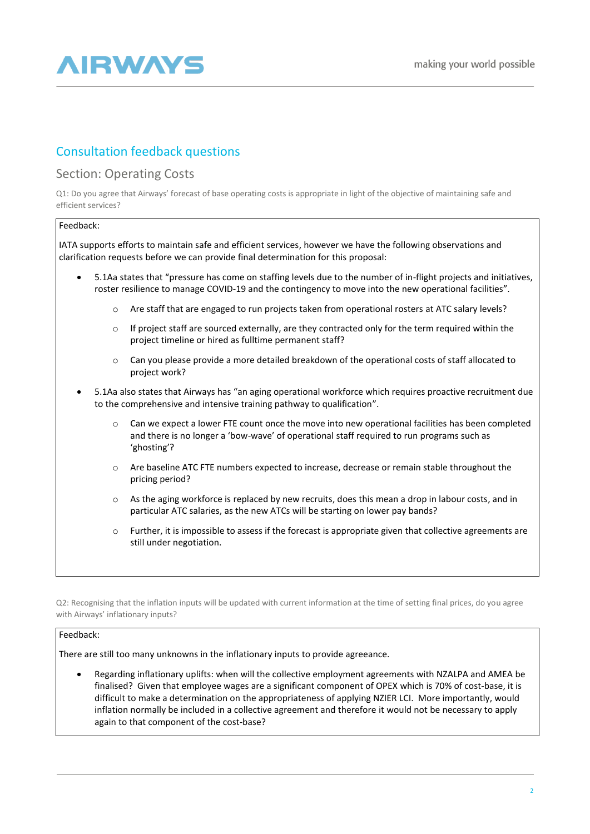

## Consultation feedback questions

## Section: Operating Costs

Q1: Do you agree that Airways' forecast of base operating costs is appropriate in light of the objective of maintaining safe and efficient services?

#### Feedback:

IATA supports efforts to maintain safe and efficient services, however we have the following observations and clarification requests before we can provide final determination for this proposal:

- 5.1Aa states that "pressure has come on staffing levels due to the number of in-flight projects and initiatives, roster resilience to manage COVID-19 and the contingency to move into the new operational facilities".
	- o Are staff that are engaged to run projects taken from operational rosters at ATC salary levels?
	- $\circ$  If project staff are sourced externally, are they contracted only for the term required within the project timeline or hired as fulltime permanent staff?
	- o Can you please provide a more detailed breakdown of the operational costs of staff allocated to project work?
- 5.1Aa also states that Airways has "an aging operational workforce which requires proactive recruitment due to the comprehensive and intensive training pathway to qualification".
	- o Can we expect a lower FTE count once the move into new operational facilities has been completed and there is no longer a 'bow-wave' of operational staff required to run programs such as 'ghosting'?
	- $\circ$  Are baseline ATC FTE numbers expected to increase, decrease or remain stable throughout the pricing period?
	- o As the aging workforce is replaced by new recruits, does this mean a drop in labour costs, and in particular ATC salaries, as the new ATCs will be starting on lower pay bands?
	- $\circ$  Further, it is impossible to assess if the forecast is appropriate given that collective agreements are still under negotiation.

Q2: Recognising that the inflation inputs will be updated with current information at the time of setting final prices, do you agree with Airways' inflationary inputs?

#### Feedback:

There are still too many unknowns in the inflationary inputs to provide agreeance.

• Regarding inflationary uplifts: when will the collective employment agreements with NZALPA and AMEA be finalised? Given that employee wages are a significant component of OPEX which is 70% of cost-base, it is difficult to make a determination on the appropriateness of applying NZIER LCI. More importantly, would inflation normally be included in a collective agreement and therefore it would not be necessary to apply again to that component of the cost-base?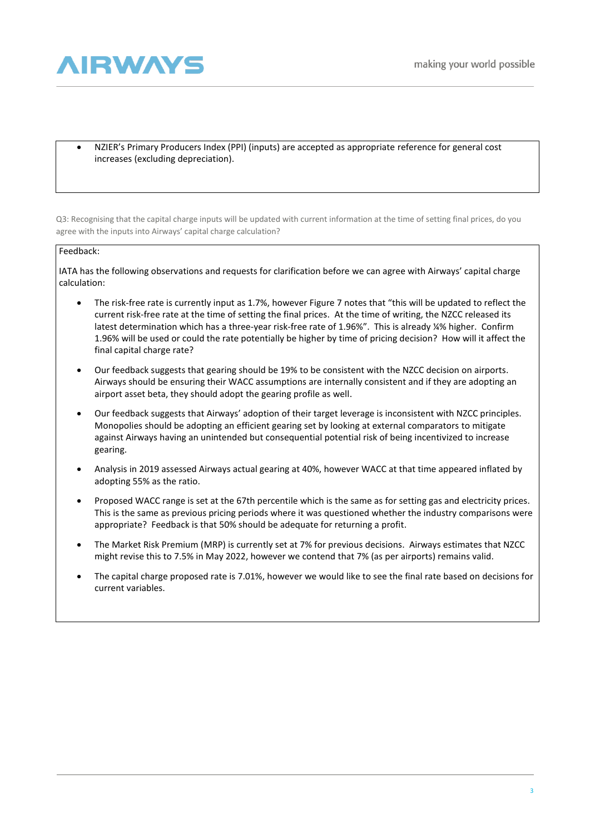

• NZIER's Primary Producers Index (PPI) (inputs) are accepted as appropriate reference for general cost increases (excluding depreciation).

Q3: Recognising that the capital charge inputs will be updated with current information at the time of setting final prices, do you agree with the inputs into Airways' capital charge calculation?

## Feedback:

IATA has the following observations and requests for clarification before we can agree with Airways' capital charge calculation:

- The risk-free rate is currently input as 1.7%, however Figure 7 notes that "this will be updated to reflect the current risk-free rate at the time of setting the final prices. At the time of writing, the NZCC released its latest determination which has a three-year risk-free rate of 1.96%". This is already ¼% higher. Confirm 1.96% will be used or could the rate potentially be higher by time of pricing decision? How will it affect the final capital charge rate?
- Our feedback suggests that gearing should be 19% to be consistent with the NZCC decision on airports. Airways should be ensuring their WACC assumptions are internally consistent and if they are adopting an airport asset beta, they should adopt the gearing profile as well.
- Our feedback suggests that Airways' adoption of their target leverage is inconsistent with NZCC principles. Monopolies should be adopting an efficient gearing set by looking at external comparators to mitigate against Airways having an unintended but consequential potential risk of being incentivized to increase gearing.
- Analysis in 2019 assessed Airways actual gearing at 40%, however WACC at that time appeared inflated by adopting 55% as the ratio.
- Proposed WACC range is set at the 67th percentile which is the same as for setting gas and electricity prices. This is the same as previous pricing periods where it was questioned whether the industry comparisons were appropriate? Feedback is that 50% should be adequate for returning a profit.
- The Market Risk Premium (MRP) is currently set at 7% for previous decisions. Airways estimates that NZCC might revise this to 7.5% in May 2022, however we contend that 7% (as per airports) remains valid.
- The capital charge proposed rate is 7.01%, however we would like to see the final rate based on decisions for current variables.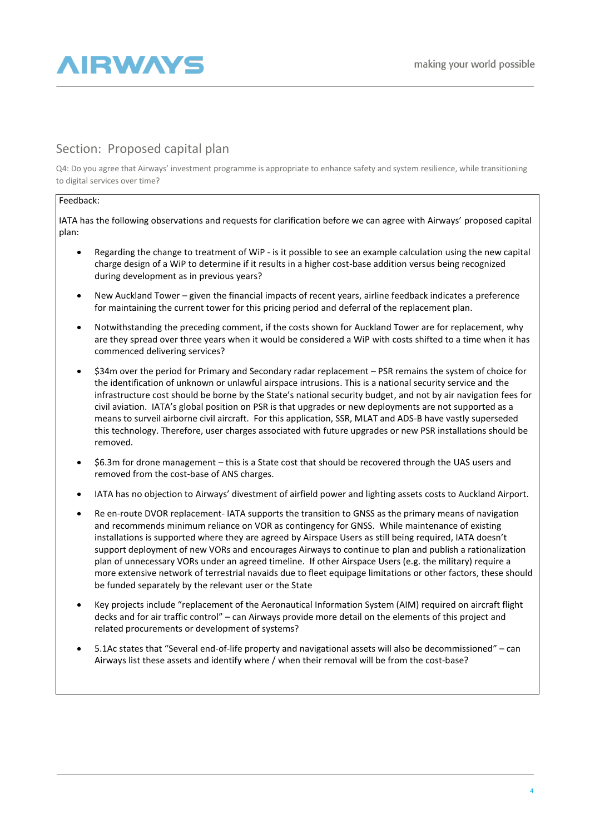

## Section: Proposed capital plan

Q4: Do you agree that Airways' investment programme is appropriate to enhance safety and system resilience, while transitioning to digital services over time?

## Feedback:

IATA has the following observations and requests for clarification before we can agree with Airways' proposed capital plan:

- Regarding the change to treatment of WiP is it possible to see an example calculation using the new capital charge design of a WiP to determine if it results in a higher cost-base addition versus being recognized during development as in previous years?
- New Auckland Tower given the financial impacts of recent years, airline feedback indicates a preference for maintaining the current tower for this pricing period and deferral of the replacement plan.
- Notwithstanding the preceding comment, if the costs shown for Auckland Tower are for replacement, why are they spread over three years when it would be considered a WiP with costs shifted to a time when it has commenced delivering services?
- \$34m over the period for Primary and Secondary radar replacement PSR remains the system of choice for the identification of unknown or unlawful airspace intrusions. This is a national security service and the infrastructure cost should be borne by the State's national security budget, and not by air navigation fees for civil aviation. IATA's global position on PSR is that upgrades or new deployments are not supported as a means to surveil airborne civil aircraft. For this application, SSR, MLAT and ADS-B have vastly superseded this technology. Therefore, user charges associated with future upgrades or new PSR installations should be removed.
- \$6.3m for drone management this is a State cost that should be recovered through the UAS users and removed from the cost-base of ANS charges.
- IATA has no objection to Airways' divestment of airfield power and lighting assets costs to Auckland Airport.
- Re en-route DVOR replacement- IATA supports the transition to GNSS as the primary means of navigation and recommends minimum reliance on VOR as contingency for GNSS. While maintenance of existing installations is supported where they are agreed by Airspace Users as still being required, IATA doesn't support deployment of new VORs and encourages Airways to continue to plan and publish a rationalization plan of unnecessary VORs under an agreed timeline. If other Airspace Users (e.g. the military) require a more extensive network of terrestrial navaids due to fleet equipage limitations or other factors, these should be funded separately by the relevant user or the State
- Key projects include "replacement of the Aeronautical Information System (AIM) required on aircraft flight decks and for air traffic control" – can Airways provide more detail on the elements of this project and related procurements or development of systems?
- 5.1Ac states that "Several end-of-life property and navigational assets will also be decommissioned" can Airways list these assets and identify where / when their removal will be from the cost-base?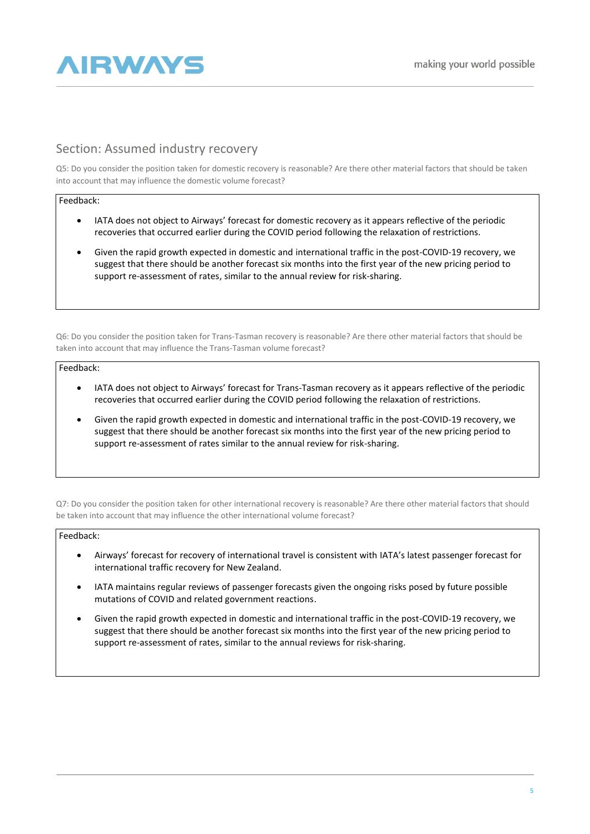

## Section: Assumed industry recovery

Q5: Do you consider the position taken for domestic recovery is reasonable? Are there other material factors that should be taken into account that may influence the domestic volume forecast?

#### Feedback:

- IATA does not object to Airways' forecast for domestic recovery as it appears reflective of the periodic recoveries that occurred earlier during the COVID period following the relaxation of restrictions.
- Given the rapid growth expected in domestic and international traffic in the post-COVID-19 recovery, we suggest that there should be another forecast six months into the first year of the new pricing period to support re-assessment of rates, similar to the annual review for risk-sharing.

Q6: Do you consider the position taken for Trans-Tasman recovery is reasonable? Are there other material factors that should be taken into account that may influence the Trans-Tasman volume forecast?

#### Feedback:

- IATA does not object to Airways' forecast for Trans-Tasman recovery as it appears reflective of the periodic recoveries that occurred earlier during the COVID period following the relaxation of restrictions.
- Given the rapid growth expected in domestic and international traffic in the post-COVID-19 recovery, we suggest that there should be another forecast six months into the first year of the new pricing period to support re-assessment of rates similar to the annual review for risk-sharing.

Q7: Do you consider the position taken for other international recovery is reasonable? Are there other material factors that should be taken into account that may influence the other international volume forecast?

#### Feedback:

- Airways' forecast for recovery of international travel is consistent with IATA's latest passenger forecast for international traffic recovery for New Zealand.
- IATA maintains regular reviews of passenger forecasts given the ongoing risks posed by future possible mutations of COVID and related government reactions.
- Given the rapid growth expected in domestic and international traffic in the post-COVID-19 recovery, we suggest that there should be another forecast six months into the first year of the new pricing period to support re-assessment of rates, similar to the annual reviews for risk-sharing.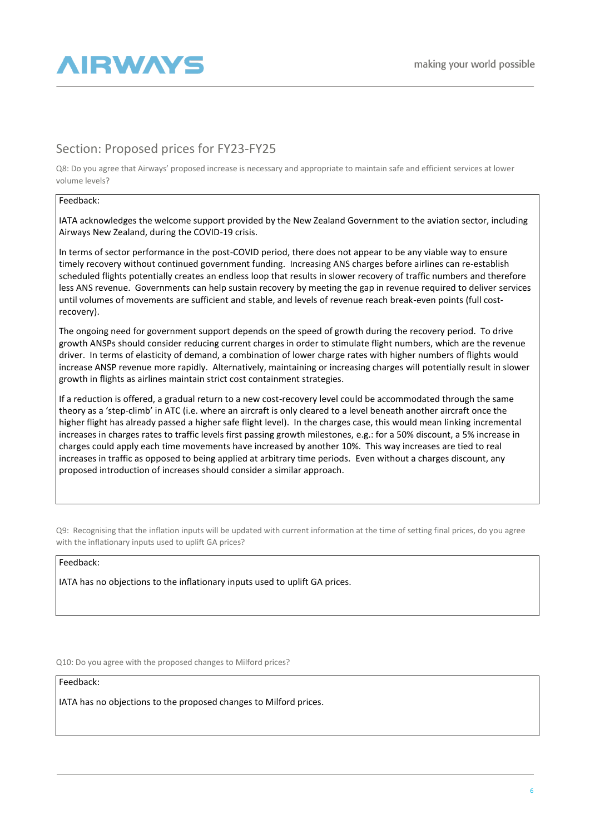

## Section: Proposed prices for FY23-FY25

Q8: Do you agree that Airways' proposed increase is necessary and appropriate to maintain safe and efficient services at lower volume levels?

#### Feedback:

IATA acknowledges the welcome support provided by the New Zealand Government to the aviation sector, including Airways New Zealand, during the COVID-19 crisis.

In terms of sector performance in the post-COVID period, there does not appear to be any viable way to ensure timely recovery without continued government funding. Increasing ANS charges before airlines can re-establish scheduled flights potentially creates an endless loop that results in slower recovery of traffic numbers and therefore less ANS revenue. Governments can help sustain recovery by meeting the gap in revenue required to deliver services until volumes of movements are sufficient and stable, and levels of revenue reach break-even points (full costrecovery).

The ongoing need for government support depends on the speed of growth during the recovery period. To drive growth ANSPs should consider reducing current charges in order to stimulate flight numbers, which are the revenue driver. In terms of elasticity of demand, a combination of lower charge rates with higher numbers of flights would increase ANSP revenue more rapidly. Alternatively, maintaining or increasing charges will potentially result in slower growth in flights as airlines maintain strict cost containment strategies.

If a reduction is offered, a gradual return to a new cost-recovery level could be accommodated through the same theory as a 'step-climb' in ATC (i.e. where an aircraft is only cleared to a level beneath another aircraft once the higher flight has already passed a higher safe flight level). In the charges case, this would mean linking incremental increases in charges rates to traffic levels first passing growth milestones, e.g.: for a 50% discount, a 5% increase in charges could apply each time movements have increased by another 10%. This way increases are tied to real increases in traffic as opposed to being applied at arbitrary time periods. Even without a charges discount, any proposed introduction of increases should consider a similar approach.

Q9: Recognising that the inflation inputs will be updated with current information at the time of setting final prices, do you agree with the inflationary inputs used to uplift GA prices?

### Feedback:

IATA has no objections to the inflationary inputs used to uplift GA prices.

Q10: Do you agree with the proposed changes to Milford prices?

Feedback:

IATA has no objections to the proposed changes to Milford prices.